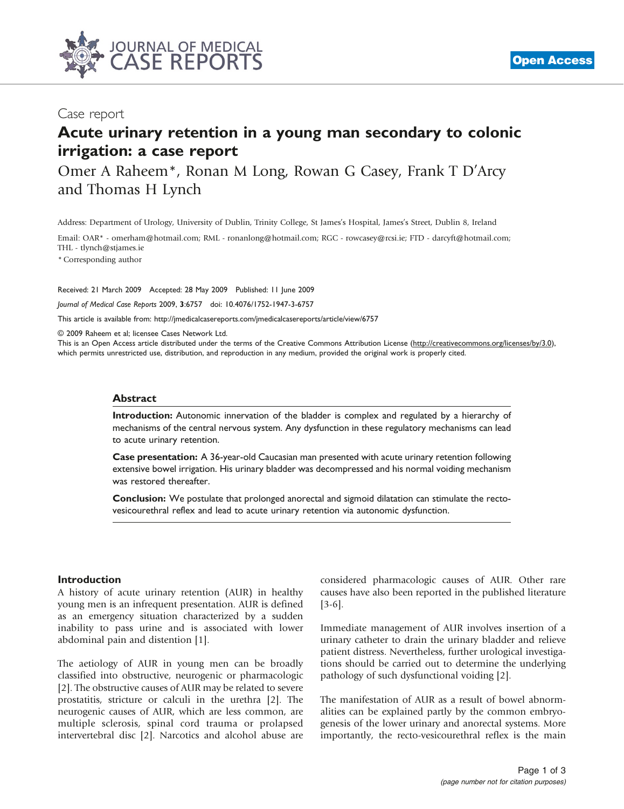

# Case report

# Acute urinary retention in a young man secondary to colonic irrigation: a case report

Omer A Raheem\*, Ronan M Long, Rowan G Casey, Frank T D'Arcy and Thomas H Lynch

Address: Department of Urology, University of Dublin, Trinity College, St James's Hospital, James's Street, Dublin 8, Ireland

Email: OAR\* - omerham@hotmail.com; RML - ronanlong@hotmail.com; RGC - rowcasey@rcsi.ie; FTD - darcyft@hotmail.com; THL - tlynch@stjames.ie

\* Corresponding author

Received: 21 March 2009 Accepted: 28 May 2009 Published: 11 June 2009

Journal of Medical Case Reports 2009, 3:6757 doi: 10.4076/1752-1947-3-6757

This article is available from:<http://jmedicalcasereports.com/jmedicalcasereports/article/view/6757>

© 2009 Raheem et al; licensee Cases Network Ltd.

This is an Open Access article distributed under the terms of the Creative Commons Attribution License [\(http://creativecommons.org/licenses/by/3.0\)](http://creativecommons.org/licenses/by/3.0), which permits unrestricted use, distribution, and reproduction in any medium, provided the original work is properly cited.

#### Abstract

Introduction: Autonomic innervation of the bladder is complex and regulated by a hierarchy of mechanisms of the central nervous system. Any dysfunction in these regulatory mechanisms can lead to acute urinary retention.

Case presentation: A 36-year-old Caucasian man presented with acute urinary retention following extensive bowel irrigation. His urinary bladder was decompressed and his normal voiding mechanism was restored thereafter.

Conclusion: We postulate that prolonged anorectal and sigmoid dilatation can stimulate the rectovesicourethral reflex and lead to acute urinary retention via autonomic dysfunction.

## Introduction

A history of acute urinary retention (AUR) in healthy young men is an infrequent presentation. AUR is defined as an emergency situation characterized by a sudden inability to pass urine and is associated with lower abdominal pain and distention [[1\]](#page-2-0).

The aetiology of AUR in young men can be broadly classified into obstructive, neurogenic or pharmacologic [\[2](#page-2-0)]. The obstructive causes of AUR may be related to severe prostatitis, stricture or calculi in the urethra [\[2\]](#page-2-0). The neurogenic causes of AUR, which are less common, are multiple sclerosis, spinal cord trauma or prolapsed intervertebral disc [\[2](#page-2-0)]. Narcotics and alcohol abuse are

considered pharmacologic causes of AUR. Other rare causes have also been reported in the published literature [[3-6\]](#page-2-0).

Immediate management of AUR involves insertion of a urinary catheter to drain the urinary bladder and relieve patient distress. Nevertheless, further urological investigations should be carried out to determine the underlying pathology of such dysfunctional voiding [[2](#page-2-0)].

The manifestation of AUR as a result of bowel abnormalities can be explained partly by the common embryogenesis of the lower urinary and anorectal systems. More importantly, the recto-vesicourethral reflex is the main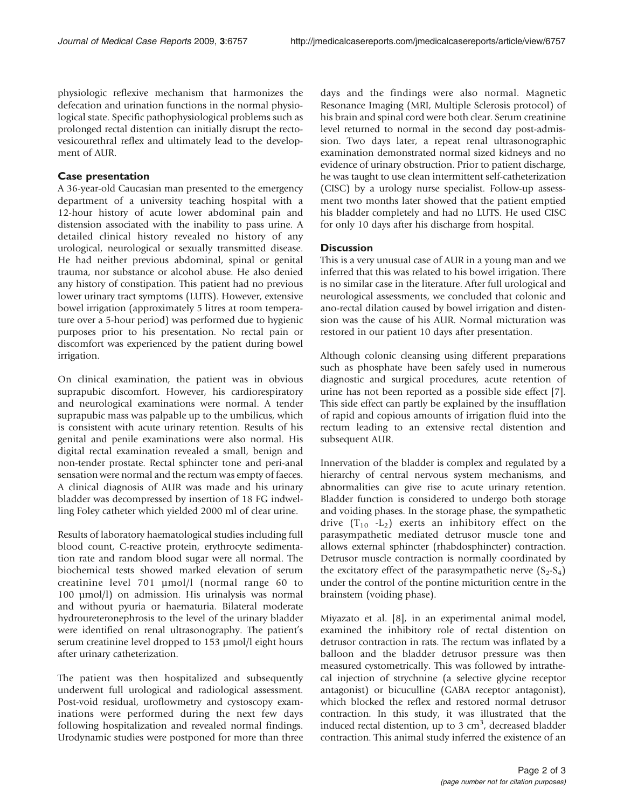physiologic reflexive mechanism that harmonizes the defecation and urination functions in the normal physiological state. Specific pathophysiological problems such as prolonged rectal distention can initially disrupt the rectovesicourethral reflex and ultimately lead to the development of AUR.

# Case presentation

A 36-year-old Caucasian man presented to the emergency department of a university teaching hospital with a 12-hour history of acute lower abdominal pain and distension associated with the inability to pass urine. A detailed clinical history revealed no history of any urological, neurological or sexually transmitted disease. He had neither previous abdominal, spinal or genital trauma, nor substance or alcohol abuse. He also denied any history of constipation. This patient had no previous lower urinary tract symptoms (LUTS). However, extensive bowel irrigation (approximately 5 litres at room temperature over a 5-hour period) was performed due to hygienic purposes prior to his presentation. No rectal pain or discomfort was experienced by the patient during bowel irrigation.

On clinical examination, the patient was in obvious suprapubic discomfort. However, his cardiorespiratory and neurological examinations were normal. A tender suprapubic mass was palpable up to the umbilicus, which is consistent with acute urinary retention. Results of his genital and penile examinations were also normal. His digital rectal examination revealed a small, benign and non-tender prostate. Rectal sphincter tone and peri-anal sensation were normal and the rectum was empty of faeces. A clinical diagnosis of AUR was made and his urinary bladder was decompressed by insertion of 18 FG indwelling Foley catheter which yielded 2000 ml of clear urine.

Results of laboratory haematological studies including full blood count, C-reactive protein, erythrocyte sedimentation rate and random blood sugar were all normal. The biochemical tests showed marked elevation of serum creatinine level 701 µmol/l (normal range 60 to 100 µmol/l) on admission. His urinalysis was normal and without pyuria or haematuria. Bilateral moderate hydroureteronephrosis to the level of the urinary bladder were identified on renal ultrasonography. The patient's serum creatinine level dropped to 153 µmol/l eight hours after urinary catheterization.

The patient was then hospitalized and subsequently underwent full urological and radiological assessment. Post-void residual, uroflowmetry and cystoscopy examinations were performed during the next few days following hospitalization and revealed normal findings. Urodynamic studies were postponed for more than three days and the findings were also normal. Magnetic Resonance Imaging (MRI, Multiple Sclerosis protocol) of his brain and spinal cord were both clear. Serum creatinine level returned to normal in the second day post-admission. Two days later, a repeat renal ultrasonographic examination demonstrated normal sized kidneys and no evidence of urinary obstruction. Prior to patient discharge, he was taught to use clean intermittent self-catheterization (CISC) by a urology nurse specialist. Follow-up assessment two months later showed that the patient emptied his bladder completely and had no LUTS. He used CISC for only 10 days after his discharge from hospital.

#### **Discussion**

This is a very unusual case of AUR in a young man and we inferred that this was related to his bowel irrigation. There is no similar case in the literature. After full urological and neurological assessments, we concluded that colonic and ano-rectal dilation caused by bowel irrigation and distension was the cause of his AUR. Normal micturation was restored in our patient 10 days after presentation.

Although colonic cleansing using different preparations such as phosphate have been safely used in numerous diagnostic and surgical procedures, acute retention of urine has not been reported as a possible side effect [\[7\]](#page-2-0). This side effect can partly be explained by the insufflation of rapid and copious amounts of irrigation fluid into the rectum leading to an extensive rectal distention and subsequent AUR.

Innervation of the bladder is complex and regulated by a hierarchy of central nervous system mechanisms, and abnormalities can give rise to acute urinary retention. Bladder function is considered to undergo both storage and voiding phases. In the storage phase, the sympathetic drive  $(T_{10} - L_2)$  exerts an inhibitory effect on the parasympathetic mediated detrusor muscle tone and allows external sphincter (rhabdosphincter) contraction. Detrusor muscle contraction is normally coordinated by the excitatory effect of the parasympathetic nerve  $(S_2-S_4)$ under the control of the pontine micturition centre in the brainstem (voiding phase).

Miyazato et al. [\[8\]](#page-2-0), in an experimental animal model, examined the inhibitory role of rectal distention on detrusor contraction in rats. The rectum was inflated by a balloon and the bladder detrusor pressure was then measured cystometrically. This was followed by intrathecal injection of strychnine (a selective glycine receptor antagonist) or bicuculline (GABA receptor antagonist), which blocked the reflex and restored normal detrusor contraction. In this study, it was illustrated that the induced rectal distention, up to 3 cm<sup>3</sup>, decreased bladder contraction. This animal study inferred the existence of an